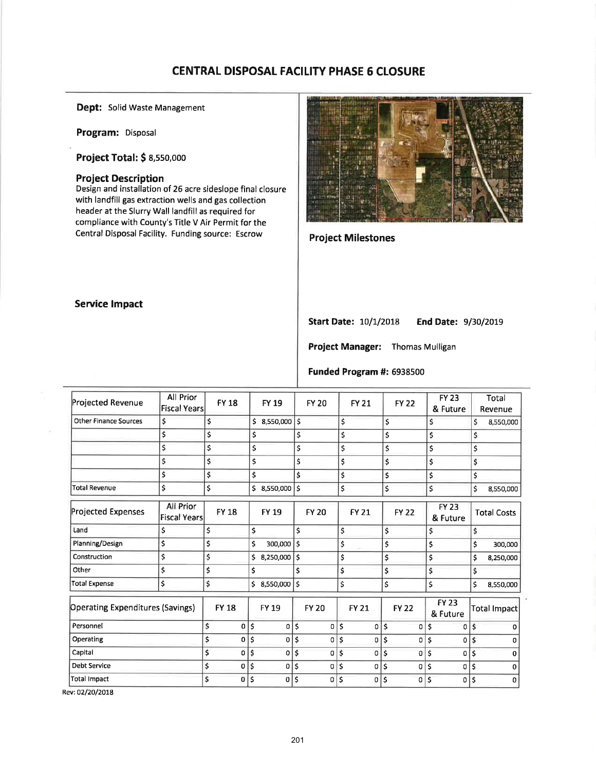# CENTRAL DISPOSAL FACILITY PHASE 6 CLOSURE

Dept: Solid Waste Management

Program: Disposal

Project Total: \$ 8,55o,ooo

### Project Description

Design and installation of 25 acre sideslope final closure with landfill gas extraction wells and gas collection header at the Slurry Wall landfill as required for compliance with County's Title V Air Permit for the Central Disposal Facility. Funding source: Escrow



## Project Milestones

### Service lmpact

Start Date: 10/1/2018 End Date: 9/30/2019

Project Manager: Thomas Mulligan

#### Funded Program #: 6938500

| Projected Revenue                       | All Prior<br><b>Fiscal Years</b>        | <b>FY 18</b>      |     | <b>FY 19</b>   |                           | <b>FY 20</b> | <b>FY 21</b>         | <b>FY 22</b>   | <b>FY 23</b><br>& Future |             |    | Total<br>Revenue   |
|-----------------------------------------|-----------------------------------------|-------------------|-----|----------------|---------------------------|--------------|----------------------|----------------|--------------------------|-------------|----|--------------------|
| <b>Other Finance Sources</b>            | \$                                      | \$                | \$  | 8,550,000 \$   |                           |              | \$                   | \$             | \$                       |             | \$ | 8,550,000          |
|                                         | \$                                      | \$                | \$  |                | \$                        |              | \$                   | \$             | \$                       |             | \$ |                    |
|                                         | \$                                      | \$                | \$  |                | \$                        |              | \$                   | \$             | \$                       |             | \$ |                    |
|                                         | \$                                      | \$                | \$  |                | \$                        |              | \$                   | \$             | \$                       |             | \$ |                    |
|                                         | \$                                      | \$                | \$  |                | \$                        |              | \$                   | \$             | \$                       |             | \$ |                    |
| <b>Total Revenue</b>                    | \$                                      | \$                |     | \$ 8,550,000   | \$                        |              | \$                   | \$             | \$                       |             | \$ | 8,550,000          |
| <b>Projected Expenses</b>               | <b>All Prior</b><br><b>Fiscal Years</b> | <b>FY 18</b>      |     | <b>FY 19</b>   |                           | <b>FY 20</b> | <b>FY 21</b>         | <b>FY 22</b>   | <b>FY 23</b><br>& Future |             |    | <b>Total Costs</b> |
| Land                                    | \$                                      | \$                | \$  |                | $\boldsymbol{\mathsf{S}}$ |              | \$                   | \$             | \$                       |             | \$ |                    |
| Planning/Design                         | \$                                      | \$                | \$  | 300,000        | Ś                         |              | \$                   | \$             | \$                       |             | \$ | 300,000            |
| Construction                            | \$                                      | \$                | \$  | 8,250,000      | \$                        |              | \$                   | \$             | \$                       |             | \$ | 8,250,000          |
| Other                                   | \$                                      | \$                | \$  |                | \$                        |              | \$                   | \$             | \$                       |             | \$ |                    |
| Total Expense                           | \$                                      | \$                |     | \$8,550,000    | \$                        |              | \$                   | \$             | \$                       |             | \$ | 8,550,000          |
| <b>Operating Expenditures (Savings)</b> |                                         | <b>FY 18</b>      |     | <b>FY 19</b>   |                           | <b>FY 20</b> | <b>FY 21</b>         | <b>FY 22</b>   | <b>FY 23</b><br>& Future |             |    | Total Impact       |
| Personnel                               |                                         | \$<br>0           | ١\$ | $\mathbf{0}$   | \$                        | 0            | \$<br>$\Omega$       | \$<br>$\Omega$ | \$                       | 0           | \$ | $\Omega$           |
| Operating                               |                                         | \$<br>$\Omega$    | ١\$ | 0 <sup>1</sup> | Ś                         | 0            | \$<br>οl             | \$<br>0        | Ś                        | $\mathbf 0$ | Ś  | n                  |
| Capital                                 |                                         | \$<br>0           | \$  | 0              | \$                        | 0            | \$<br>0              | \$<br>0        | \$                       | $\Omega$    | \$ | n                  |
| <b>Debt Service</b>                     |                                         | \$<br>0           | \$  | 0              | \$                        | 0            | \$<br>0              | \$<br>0        | \$                       | 0           | \$ | 0                  |
| <b>Total Impact</b>                     |                                         | \$<br>$\mathbf 0$ | \$  | $\mathbf 0$    | Ś                         | 0            | \$<br>$\overline{0}$ | \$<br>0        | ۱\$                      | $\Omega$    | \$ | 0                  |
|                                         |                                         |                   |     |                |                           |              |                      |                |                          |             |    |                    |

Rev:O2|2O/2OL8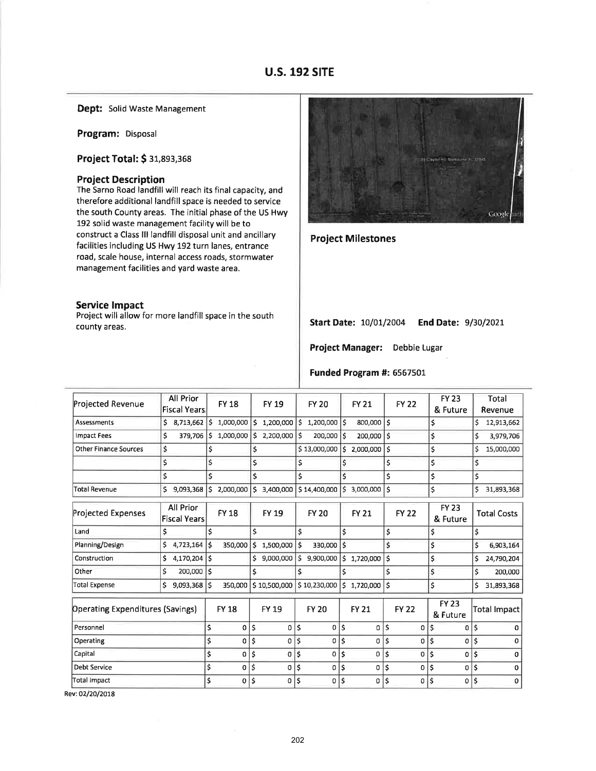## u.s. 192 S|TE

Dept: Solid Waste Management

Program: Disposal

Project Total: \$ 3t,893,368

#### Project Description

The Sarno Road landfill will reach its final capacity, and therefore additional landfill space is needed to service the south County areas. The initial phase of the US Hwy 192 solid waste management facility will be to construct a Class lll landfill disposal unit and ancillary facilities including US Hwy 192 turn lanes, entrance road, scale house, internal access roads, stormwater management facilities and yard waste area.

#### Service lmpact

Project will allow for more landfill space in the south county areas.



Project Milestones

Start Date: 10/01/2004 End Date: 9/30/2021

Project Manager: Debbie Lugar

Funded Program #: 6567501

| Projected Revenue                       | All Prior<br><b>Fiscal Years</b> |     | <b>FY 18</b> |     | <b>FY 19</b> |                    | <b>FY 20</b>   |    | <b>FY 21</b>    |              | <b>FY 22</b> |            | <b>FY 23</b><br>& Future |    | Total<br>Revenue    |
|-----------------------------------------|----------------------------------|-----|--------------|-----|--------------|--------------------|----------------|----|-----------------|--------------|--------------|------------|--------------------------|----|---------------------|
| Assessments                             | Ś<br>8,713,662                   |     | \$1,000,000  |     | 5 1,200,000  | 5                  | $1,200,000$ \$ |    | 800,000 \$      |              |              | \$         |                          | Ś  | 12,913,662          |
| <b>Impact Fees</b>                      | Ś<br>379,706                     | \$  | 1,000,000    | \$  | 2,200,000    | Ś                  | 200,000        | Ś  | 200,000         | Ś            |              | \$         |                          | \$ | 3,979,706           |
| <b>Other Finance Sources</b>            | \$                               | \$  |              | \$  |              |                    | \$13,000,000   | Ś. | 2,000,000       | \$           |              | \$         |                          | Ś  | 15,000,000          |
|                                         | \$                               | \$  |              | \$  |              | \$                 |                | \$ |                 | \$           |              | \$         |                          | \$ |                     |
|                                         | \$                               | Ś.  |              | \$  |              | Ś                  |                | Ś  |                 | \$           |              | \$         |                          | \$ |                     |
| <b>Total Revenue</b>                    | Ś<br>9,093,368                   | \$. | 2,000,000    | '\$ | 3,400,000    |                    | \$14,400,000   | Ś. | 3,000,000       | $\mathsf{s}$ |              | \$         |                          | \$ | 31,893,368          |
| <b>Projected Expenses</b>               | All Prior<br><b>Fiscal Years</b> |     | <b>FY 18</b> |     | <b>FY 19</b> |                    | <b>FY 20</b>   |    | <b>FY 21</b>    |              | <b>FY 22</b> |            | <b>FY 23</b><br>& Future |    | <b>Total Costs</b>  |
| Land                                    | Ś                                | \$  |              | \$  |              | \$                 |                | \$ |                 | \$           |              | \$         |                          | \$ |                     |
| Planning/Design                         | \$<br>4,723,164                  | Ś   | 350,000      | \$  | 1,500,000    | Ś                  | 330,000        | Ś  |                 | Ś            |              | \$         |                          | \$ | 6,903,164           |
| Construction                            | \$<br>4,170,204                  | Ś   |              | \$  | 9,000,000    | \$                 | 9,900,000      | \$ | 1,720,000       | \$           |              | \$         |                          | \$ | 24,790,204          |
| Other                                   | \$<br>200,000                    | Ś   |              | \$  |              | \$                 |                | \$ |                 | \$           |              | \$         |                          | \$ | 200,000             |
| <b>Total Expense</b>                    | 9,093,368<br>Ŝ                   | Ś   | 350,000      |     | \$10,500,000 |                    | \$10,230,000   |    | $$1,720,000$ \$ |              |              | \$         |                          | \$ | 31,893,368          |
| <b>Operating Expenditures (Savings)</b> |                                  |     | <b>FY 18</b> |     | <b>FY 19</b> |                    | <b>FY 20</b>   |    | <b>FY 21</b>    |              | <b>FY 22</b> |            | <b>FY 23</b><br>& Future |    | <b>Total Impact</b> |
| Personnel                               |                                  | \$  | 0            | \$  | $\sigma$     | $\mathsf{\hat{S}}$ | 0              | \$ | 0               | \$           | 0            | \$         | 0                        | Ś  | 0                   |
| Operating                               |                                  | \$  | 0            | \$  | 0            | Ś                  | 0              | \$ | o               | \$           | 0            | \$         | 0                        | Ś  | $\Omega$            |
| Capital                                 |                                  | \$  | 0            | \$  | $\mathbf 0$  | \$                 | 0              | \$ | 0               | \$           | 0            | \$         | 0                        | \$ | $\Omega$            |
| <b>Debt Service</b>                     |                                  | \$  | 0            | \$  | 0            | \$                 | 0              | \$ | 0               | \$           | 0            | $\ddot{s}$ | 0                        | Ś  | $\Omega$            |
| <b>Total Impact</b>                     |                                  | \$  | $\mathbf 0$  | \$  | 0            | \$                 | 0              | \$ | 0               | \$           | 0            | \$         | 0                        | Ŝ  | $\Omega$            |
|                                         |                                  |     |              |     |              |                    |                |    |                 |              |              |            |                          |    |                     |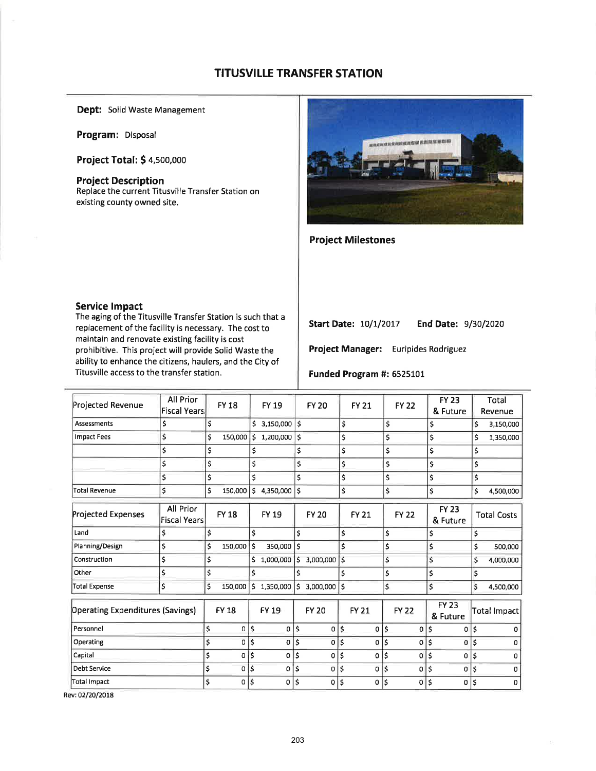## **TITUSVILLE TRANSFER STATION**

Dept: Solid Waste Management

Program: Disposal

**Project Total: \$4,500,000** 

#### **Project Description**

Replace the current Titusville Transfer Station on existing county owned site.



## **Project Milestones**

#### **Service Impact**

The aging of the Titusville Transfer Station is such that a replacement of the facility is necessary. The cost to maintain and renovate existing facility is cost prohibitive. This project will provide Solid Waste the ability to enhance the citizens, haulers, and the City of Titusville access to the transfer station.

**Start Date: 10/1/2017** End Date: 9/30/2020

Project Manager: Euripides Rodriguez

#### Funded Program #: 6525101

| Projected Revenue                | All Prior<br><b>Fiscal Years</b> | <b>FY 18</b>       | FY 19              |                    | <b>FY 20</b>   |    | <b>FY 21</b> | <b>FY 22</b> | <b>FY 23</b><br>& Future | Total<br>Revenue    |
|----------------------------------|----------------------------------|--------------------|--------------------|--------------------|----------------|----|--------------|--------------|--------------------------|---------------------|
| <b>Assessments</b>               | \$                               | \$                 | \$3,150,000        | l\$                |                | \$ |              | \$           | \$                       | \$<br>3,150,000     |
| <b>Impact Fees</b>               | \$                               | \$<br>150,000      | $$1,200,000$ \$    |                    |                | \$ |              | \$           | \$                       | \$<br>1,350,000     |
|                                  | \$                               | \$                 | \$                 | \$                 |                | \$ |              | \$           | \$                       | \$                  |
|                                  | \$                               | \$                 | \$                 | \$                 |                | \$ |              | \$           | \$                       | \$                  |
|                                  | \$                               | \$                 | \$                 | \$                 |                | \$ |              | \$           | \$                       | \$                  |
| <b>Total Revenue</b>             | \$                               | \$<br>150,000      | \$<br>4,350,000    | \$                 |                | \$ |              | \$           | \$                       | \$<br>4,500,000     |
| <b>Projected Expenses</b>        | All Prior<br><b>Fiscal Years</b> | <b>FY 18</b>       | <b>FY 19</b>       |                    | <b>FY 20</b>   |    | <b>FY 21</b> | <b>FY 22</b> | <b>FY 23</b><br>& Future | <b>Total Costs</b>  |
| Land                             | \$                               | \$                 | \$                 | \$                 |                | \$ |              | \$           | \$                       | \$                  |
| Planning/Design                  | \$                               | \$<br>150,000 \$   | 350,000            | $\mathsf{\$}$      |                | \$ |              | \$           | \$                       | \$<br>500,000       |
| Construction                     | \$                               | \$                 | \$<br>1,000,000    | \$                 | 3,000,000      | \$ |              | \$           | \$                       | \$<br>4,000,000     |
| Other                            | \$                               | \$                 | \$                 | Ś                  |                | Ś  |              | \$           | \$                       | \$                  |
| <b>Total Expense</b>             | \$                               | \$<br>150,000      | \$1,350,000        | \$                 | $3,000,000$ \$ |    |              | \$           | \$                       | \$<br>4,500,000     |
| Operating Expenditures (Savings) |                                  | <b>FY 18</b>       | <b>FY 19</b>       |                    | <b>FY 20</b>   |    | <b>FY 21</b> | <b>FY 22</b> | <b>FY 23</b><br>& Future | <b>Total Impact</b> |
| Personnel                        |                                  | \$<br>0            | \$<br>0            | \$                 | 0              | \$ | 0            | \$<br>0      | \$<br>0                  | \$<br>$\Omega$      |
| Operating                        |                                  | \$<br>$\mathbf{0}$ | \$<br>0            | $\mathsf{\hat{S}}$ | 0              | \$ | 0            | \$<br>0      | \$<br>0                  | \$<br>0             |
| Capital                          |                                  | \$<br>$\mathbf{0}$ | \$<br>$\mathbf{0}$ | \$                 | 0              | Ś  | $\mathbf o$  | \$<br>0      | \$<br>0                  | \$<br>$\Omega$      |
| <b>Debt Service</b>              |                                  | \$<br>0            | \$<br>0            | Ś                  | 0              | \$ | 0            | \$<br>0      | \$<br>0                  | \$<br>0             |
| Total Impact                     |                                  | \$<br>0            | \$<br>0            | Ś                  | 0              | \$ | 0            | \$<br>0      | \$<br>0                  | \$<br>0             |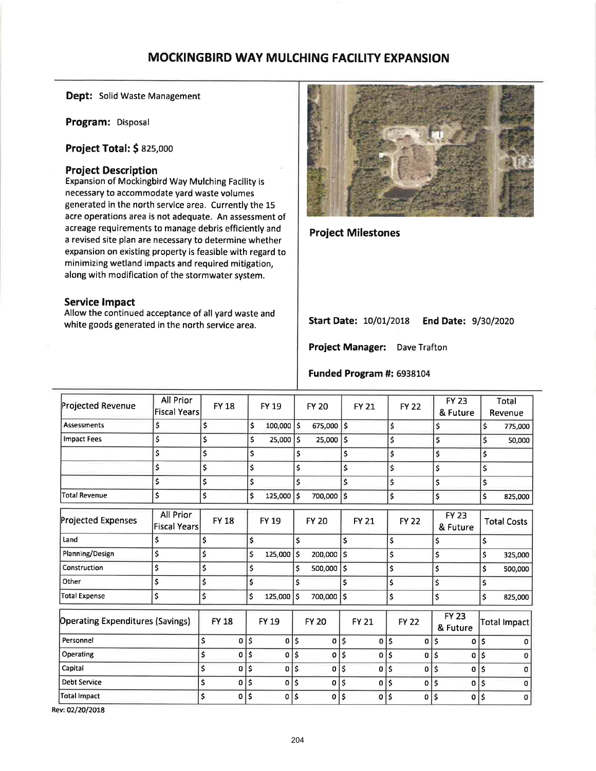# **MOCKINGBIRD WAY MULCHING FACILITY EXPANSION**

Dept: Solid Waste Management

Program: Disposal

**Project Total: \$ 825,000** 

## **Project Description**

Expansion of Mockingbird Way Mulching Facility is necessary to accommodate yard waste volumes generated in the north service area. Currently the 15 acre operations area is not adequate. An assessment of acreage requirements to manage debris efficiently and a revised site plan are necessary to determine whether expansion on existing property is feasible with regard to minimizing wetland impacts and required mitigation, along with modification of the stormwater system.

## **Service Impact**

Allow the continued acceptance of all yard waste and white goods generated in the north service area.



**Project Milestones** 

Start Date: 10/01/2018 End Date: 9/30/2020

Project Manager: Dave Trafton

#### Funded Program #: 6938104

| Projected Revenue                       | All Prior<br><b>Fiscal Years</b> | <b>FY 18</b>   | <b>FY 19</b>       |    | <b>FY 20</b> |                    | <b>FY 21</b> | <b>FY 22</b>   |    | <b>FY 23</b><br>& Future |    | <b>Total</b><br>Revenue |
|-----------------------------------------|----------------------------------|----------------|--------------------|----|--------------|--------------------|--------------|----------------|----|--------------------------|----|-------------------------|
| <b>Assessments</b>                      | \$                               | \$             | \$<br>$100,000$ \$ |    | 675,000 \$   |                    |              | \$             | \$ |                          | \$ | 775,000                 |
| <b>Impact Fees</b>                      | \$                               | \$             | \$<br>25,000       | ١ś | 25,000       | \$                 |              | \$             | \$ |                          | \$ | 50,000                  |
|                                         | \$                               | \$             | \$                 | \$ |              | \$                 |              | \$             | \$ |                          | \$ |                         |
|                                         | \$                               | \$             | \$                 | \$ |              | \$                 |              | \$             | \$ |                          | \$ |                         |
|                                         | \$                               | \$             | \$                 | \$ |              | \$                 |              | \$             | \$ |                          | \$ |                         |
| <b>Total Revenue</b>                    | \$                               | \$             | \$<br>125,000      | \$ | 700,000      | Ś                  |              | \$             | \$ |                          | \$ | 825,000                 |
| Projected Expenses                      | All Prior<br><b>Fiscal Years</b> | <b>FY 18</b>   | <b>FY 19</b>       |    | <b>FY 20</b> |                    | <b>FY 21</b> | <b>FY 22</b>   |    | <b>FY 23</b><br>& Future |    | <b>Total Costs</b>      |
| Land                                    | \$                               | \$             | \$                 | \$ |              | \$                 |              | \$             | \$ |                          | \$ |                         |
| Planning/Design                         | \$                               | \$             | \$<br>125,000      | \$ | 200,000      | l s                |              | \$             | \$ |                          | \$ | 325,000                 |
| Construction                            | \$                               | \$             | \$                 | \$ | 500,000      | $\mathsf{\hat{S}}$ |              | \$             | \$ |                          | \$ | 500,000                 |
| Other                                   | \$                               | \$             | \$                 | \$ |              | Ś                  |              | \$             | \$ |                          | \$ |                         |
| <b>Total Expense</b>                    | \$                               | \$             | \$<br>$125,000$ \$ |    | 700,000 \$   |                    |              | \$             | \$ |                          | \$ | 825,000                 |
| <b>Operating Expenditures (Savings)</b> |                                  | <b>FY 18</b>   | FY 19              |    | <b>FY 20</b> |                    | <b>FY 21</b> | <b>FY 22</b>   |    | <b>FY 23</b><br>& Future |    | Total Impact            |
| Personnel                               |                                  | \$<br>0        | \$<br>0            | \$ | 0            | \$                 | $\mathbf{0}$ | \$<br>0        | \$ | 0                        | \$ | $\Omega$                |
| Operating                               |                                  | \$<br>0        | \$<br>0            | Ś  | 0            | \$                 | 0            | \$<br>0        | Ś  | 0                        | Ś  | n                       |
| Capital                                 |                                  | \$<br>O        | \$<br>$\mathbf{0}$ | \$ | O            | \$                 | $\mathbf{0}$ | \$<br>$\Omega$ | \$ | 0                        | \$ | n                       |
| <b>Debt Service</b>                     |                                  | \$<br>$\Omega$ | \$<br>٥I           | Ś  | 0            | \$                 | 0            | \$<br>$\Omega$ | \$ | 0                        | Ś  | n                       |
| Total Impact                            |                                  | \$<br>0        | \$<br>0            | Ś  | 0            | \$                 | O            | \$<br>0        | \$ | $\mathbf 0$              | \$ | 0                       |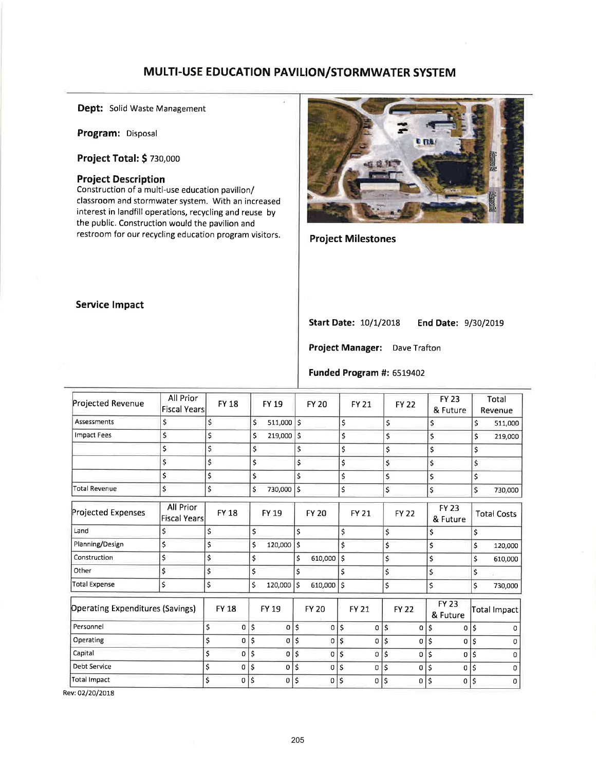# MULTI-USE EDUCATION PAVILION/STORMWATER SYSTEM

 $\overline{a}$ 

Dept: Solid Waste Management

Program: Disposal

Project Total: \$ zso,ooo

#### Project Description

Construction of a multi-use education pavilion/ classroom and stormwater system. With an increased interest in landfill operations, recycling and reuse by the public. Construction would the pavilion and restroom for our recycling education program visitors.



## Project Milestones

#### Service lmpact

Start Date: 10/1/2018 End Date: 9/30/2019

Project Manager: Dave Trafton

### Funded Program #: 6519402

| Projected Revenue                       | All Prior<br><b>Fiscal Years</b> |    | <b>FY 18</b>   |                    | <b>FY 19</b> |                         | <b>FY 20</b> |    | <b>FY 21</b>   | <b>FY 22</b>      |    | <b>FY 23</b><br>& Future |    | Total<br>Revenue   |
|-----------------------------------------|----------------------------------|----|----------------|--------------------|--------------|-------------------------|--------------|----|----------------|-------------------|----|--------------------------|----|--------------------|
| Assessments                             | \$                               | \$ |                | \$                 | 511,000 \$   |                         |              | \$ |                | \$                |    | \$                       | \$ | 511,000            |
| <b>Impact Fees</b>                      | \$                               | \$ |                | \$                 | 219,000      | \$                      |              | \$ |                | \$                |    | \$                       | \$ | 219,000            |
|                                         | \$                               | \$ |                | \$                 |              | \$                      |              | \$ |                | \$                |    | \$                       | \$ |                    |
|                                         | \$                               | \$ |                | \$                 |              | \$                      |              | \$ |                | \$                |    | \$                       | \$ |                    |
|                                         | \$                               | \$ |                | \$                 |              | \$                      |              | \$ |                | \$                |    | \$                       | \$ |                    |
| <b>Total Revenue</b>                    | \$                               | \$ |                | \$                 | 730,000      | $\overline{\mathsf{s}}$ |              | \$ |                | \$                |    | \$                       | \$ | 730,000            |
| Projected Expenses                      | All Prior<br><b>Fiscal Years</b> |    | <b>FY 18</b>   |                    | <b>FY 19</b> |                         | <b>FY 20</b> |    | <b>FY 21</b>   | <b>FY 22</b>      |    | <b>FY 23</b><br>& Future |    | <b>Total Costs</b> |
| Land                                    | \$                               | \$ |                | \$                 |              | $\overline{\mathsf{S}}$ |              | \$ |                | \$                |    | \$                       | \$ |                    |
| Planning/Design                         | \$                               | \$ |                | \$                 | 120,000      | \$                      |              | \$ |                | \$                |    | Ś                        | \$ | 120,000            |
| Construction                            | \$                               | \$ |                | \$                 |              | \$                      | 610,000      | \$ |                | \$                |    | \$                       | \$ | 610,000            |
| Other                                   | \$                               | \$ |                | \$                 |              | \$                      |              | \$ |                | \$                |    | \$                       | \$ |                    |
| <b>Total Expense</b>                    | \$                               | \$ |                | \$                 | 120,000      | \$                      | 610,000      | Ś  |                | \$                |    | \$                       | \$ | 730,000            |
| <b>Operating Expenditures (Savings)</b> |                                  |    | <b>FY 18</b>   |                    | FY 19        |                         | <b>FY 20</b> |    | <b>FY 21</b>   | <b>FY 22</b>      |    | <b>FY 23</b><br>& Future |    | Total Impact       |
| Personnel                               |                                  | \$ | 0              | ١\$                | 0            | \$                      | 0            | \$ | $\overline{0}$ | \$<br>$\mathbf 0$ | \$ | $\overline{0}$           | \$ | O                  |
| Operating                               |                                  | \$ | 0              | \$                 | $\mathbf{0}$ | Ś                       | 0            | Ś  | $\overline{0}$ | \$<br>0           | Ś  | $\Omega$                 | \$ | O                  |
| Capital                                 |                                  | Ś  | 0              | $\ddot{s}$         | 0            | \$                      | 0            | \$ | 0              | \$<br>0           | \$ | 0                        | \$ | n                  |
| <b>Debt Service</b>                     |                                  | \$ | 0              | \$                 | 0            | \$                      | 0            | \$ | 0              | \$<br>0           | \$ | 0                        | \$ | 0                  |
| Total Impact                            |                                  | \$ | $\overline{0}$ | $\mathsf{\hat{S}}$ | 0            | \$                      | 0            | \$ | $\Omega$       | \$<br>0           | \$ | $\overline{0}$           | \$ | 0                  |
|                                         |                                  |    |                |                    |              |                         |              |    |                |                   |    |                          |    |                    |

Rev: 02/2O/2O78